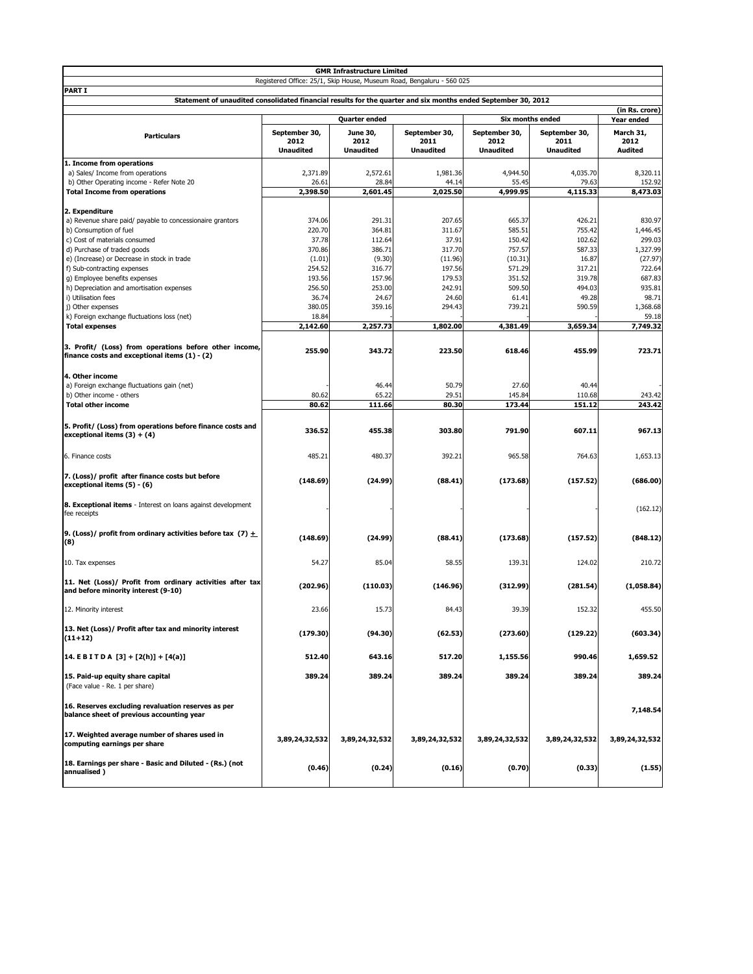| <b>GMR Infrastructure Limited</b>                                                                                              |                  |                  |                   |                         |                  |                   |  |  |
|--------------------------------------------------------------------------------------------------------------------------------|------------------|------------------|-------------------|-------------------------|------------------|-------------------|--|--|
| Registered Office: 25/1, Skip House, Museum Road, Bengaluru - 560 025                                                          |                  |                  |                   |                         |                  |                   |  |  |
| <b>PART I</b><br>Statement of unaudited consolidated financial results for the quarter and six months ended September 30, 2012 |                  |                  |                   |                         |                  |                   |  |  |
|                                                                                                                                | (in Rs. crore)   |                  |                   |                         |                  |                   |  |  |
|                                                                                                                                |                  | Quarter ended    |                   | <b>Six months ended</b> | Year ended       |                   |  |  |
|                                                                                                                                | September 30,    | June 30,         | September 30,     | September 30,           | September 30,    | March 31,         |  |  |
| <b>Particulars</b>                                                                                                             | 2012             | 2012             | 2011              | 2012                    | 2011             | 2012              |  |  |
|                                                                                                                                | <b>Unaudited</b> | <b>Unaudited</b> | <b>Unaudited</b>  | <b>Unaudited</b>        | <b>Unaudited</b> | <b>Audited</b>    |  |  |
| 1. Income from operations                                                                                                      |                  |                  |                   |                         |                  |                   |  |  |
| a) Sales/ Income from operations                                                                                               | 2,371.89         | 2,572.61         | 1,981.36          | 4,944.50                | 4,035.70         | 8,320.11          |  |  |
| b) Other Operating income - Refer Note 20                                                                                      | 26.61            | 28.84            | 44.14<br>2,025.50 | 55.45                   | 79.63            | 152.92            |  |  |
| <b>Total Income from operations</b>                                                                                            | 2,398.50         | 2,601.45         |                   | 4,999.95                | 4,115.33         | 8,473.03          |  |  |
| 2. Expenditure                                                                                                                 |                  |                  |                   |                         |                  |                   |  |  |
| a) Revenue share paid/ payable to concessionaire grantors                                                                      | 374.06           | 291.31           | 207.65            | 665.37                  | 426.21           | 830.97            |  |  |
| b) Consumption of fuel                                                                                                         | 220.70           | 364.81           | 311.67            | 585.51                  | 755.42           | 1,446.45          |  |  |
| c) Cost of materials consumed                                                                                                  | 37.78            | 112.64           | 37.91             | 150.42                  | 102.62           | 299.03            |  |  |
| d) Purchase of traded goods                                                                                                    | 370.86           | 386.71           | 317.70            | 757.57                  | 587.33           | 1,327.99          |  |  |
| e) (Increase) or Decrease in stock in trade<br>f) Sub-contracting expenses                                                     | (1.01)<br>254.52 | (9.30)<br>316.77 | (11.96)<br>197.56 | (10.31)<br>571.29       | 16.87<br>317.21  | (27.97)<br>722.64 |  |  |
| g) Employee benefits expenses                                                                                                  | 193.56           | 157.96           | 179.53            | 351.52                  | 319.78           | 687.83            |  |  |
| h) Depreciation and amortisation expenses                                                                                      | 256.50           | 253.00           | 242.91            | 509.50                  | 494.03           | 935.81            |  |  |
| i) Utilisation fees                                                                                                            | 36.74            | 24.67            | 24.60             | 61.41                   | 49.28            | 98.71             |  |  |
| j) Other expenses                                                                                                              | 380.05           | 359.16           | 294.43            | 739.21                  | 590.59           | 1,368.68          |  |  |
| k) Foreign exchange fluctuations loss (net)                                                                                    | 18.84            |                  |                   |                         |                  | 59.18             |  |  |
| <b>Total expenses</b>                                                                                                          | 2,142.60         | 2,257.73         | 1,802.00          | 4,381.49                | 3,659.34         | 7,749.32          |  |  |
|                                                                                                                                |                  |                  |                   |                         |                  |                   |  |  |
| 3. Profit/ (Loss) from operations before other income,<br>finance costs and exceptional items (1) - (2)                        | 255.90           | 343.72           | 223.50            | 618.46                  | 455.99           | 723.71            |  |  |
|                                                                                                                                |                  |                  |                   |                         |                  |                   |  |  |
| 4. Other income                                                                                                                |                  |                  |                   |                         |                  |                   |  |  |
| a) Foreign exchange fluctuations gain (net)                                                                                    |                  | 46.44            | 50.79             | 27.60                   | 40.44            |                   |  |  |
| b) Other income - others                                                                                                       | 80.62            | 65.22            | 29.51             | 145.84                  | 110.68           | 243.42            |  |  |
| <b>Total other income</b>                                                                                                      | 80.62            | 111.66           | 80.30             | 173.44                  | 151.12           | 243.42            |  |  |
| 5. Profit/ (Loss) from operations before finance costs and                                                                     |                  |                  |                   |                         |                  |                   |  |  |
| exceptional items $(3) + (4)$                                                                                                  | 336.52           | 455.38           | 303.80            | 791.90                  | 607.11           | 967.13            |  |  |
|                                                                                                                                |                  |                  |                   |                         |                  |                   |  |  |
| 6. Finance costs                                                                                                               | 485.21           | 480.37           | 392.21            | 965.58                  | 764.63           | 1,653.13          |  |  |
|                                                                                                                                |                  |                  |                   |                         |                  |                   |  |  |
| 7. (Loss)/ profit after finance costs but before                                                                               | (148.69)         | (24.99)          | (88.41)           | (173.68)                | (157.52)         | (686.00)          |  |  |
| exceptional items (5) - (6)                                                                                                    |                  |                  |                   |                         |                  |                   |  |  |
| 8. Exceptional items - Interest on loans against development                                                                   |                  |                  |                   |                         |                  |                   |  |  |
| fee receipts                                                                                                                   |                  |                  |                   |                         |                  | (162.12)          |  |  |
|                                                                                                                                |                  |                  |                   |                         |                  |                   |  |  |
| 9. (Loss)/ profit from ordinary activities before tax (7) $+$                                                                  | (148.69)         | (24.99)          | (88.41)           | (173.68)                | (157.52)         | (848.12)          |  |  |
| (8)                                                                                                                            |                  |                  |                   |                         |                  |                   |  |  |
|                                                                                                                                |                  |                  |                   |                         |                  |                   |  |  |
| 10. Tax expenses                                                                                                               | 54.27            | 85.04            | 58.55             | 139.31                  | 124.02           | 210.72            |  |  |
| 11. Net (Loss)/ Profit from ordinary activities after tax                                                                      |                  |                  |                   |                         |                  |                   |  |  |
| and before minority interest (9-10)                                                                                            | (202.96)         | (110.03)         | (146.96)          | (312.99)                | (281.54)         | (1,058.84)        |  |  |
|                                                                                                                                |                  |                  |                   |                         |                  |                   |  |  |
| 12. Minority interest                                                                                                          | 23.66            | 15.73            | 84.43             | 39.39                   | 152.32           | 455.50            |  |  |
|                                                                                                                                |                  |                  |                   |                         |                  |                   |  |  |
| 13. Net (Loss)/ Profit after tax and minority interest<br>$(11+12)$                                                            | (179.30)         | (94.30)          | (62.53)           | (273.60)                | (129.22)         | (603.34)          |  |  |
|                                                                                                                                |                  |                  |                   |                         |                  |                   |  |  |
| 14. E B I T D A $[3] + [2(h)] + [4(a)]$                                                                                        | 512.40           | 643.16           | 517.20            | 1,155.56                | 990.46           | 1,659.52          |  |  |
|                                                                                                                                |                  |                  |                   |                         |                  |                   |  |  |
| 15. Paid-up equity share capital                                                                                               | 389.24           | 389.24           | 389.24            | 389.24                  | 389.24           | 389.24            |  |  |
| (Face value - Re. 1 per share)                                                                                                 |                  |                  |                   |                         |                  |                   |  |  |
|                                                                                                                                |                  |                  |                   |                         |                  |                   |  |  |
| 16. Reserves excluding revaluation reserves as per<br>balance sheet of previous accounting year                                |                  |                  |                   |                         |                  | 7,148.54          |  |  |
|                                                                                                                                |                  |                  |                   |                         |                  |                   |  |  |
| 17. Weighted average number of shares used in                                                                                  | 3,89,24,32,532   | 3,89,24,32,532   |                   |                         |                  |                   |  |  |
| computing earnings per share                                                                                                   |                  |                  | 3,89,24,32,532    | 3,89,24,32,532          | 3,89,24,32,532   | 3,89,24,32,532    |  |  |
|                                                                                                                                |                  |                  |                   |                         |                  |                   |  |  |
| 18. Earnings per share - Basic and Diluted - (Rs.) (not<br>annualised)                                                         | (0.46)           | (0.24)           | (0.16)            | (0.70)                  | (0.33)           | (1.55)            |  |  |
|                                                                                                                                |                  |                  |                   |                         |                  |                   |  |  |
|                                                                                                                                |                  |                  |                   |                         |                  |                   |  |  |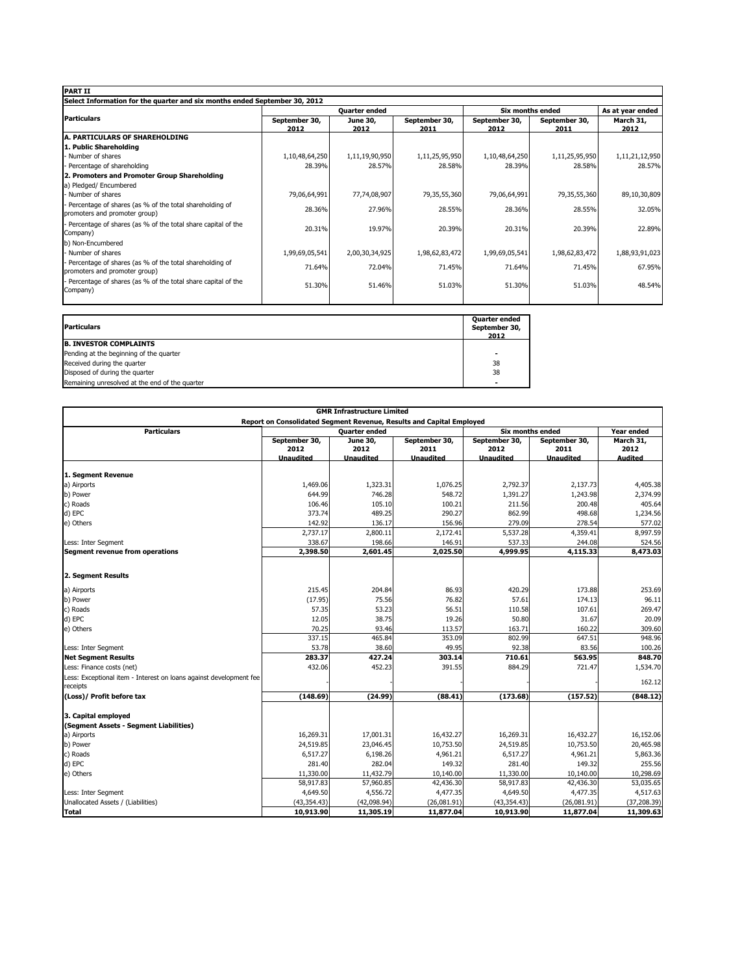| <b>Quarter ended</b><br>June 30,<br>2012<br>1,11,19,90,950<br>28.57%<br>77,74,08,907<br>27.96% | September 30,<br>2011<br>1,11,25,95,950<br>28.58%<br>79,35,55,360 | September 30,<br>2012<br>1,10,48,64,250<br>28.39%<br>79,06,64,991 | <b>Six months ended</b><br>September 30,<br>2011<br>1,11,25,95,950<br>28.58%<br>79,35,55,360 | As at year ended<br>March 31,<br>2012<br>1,11,21,12,950<br>28.57%<br>89,10,30,809 |
|------------------------------------------------------------------------------------------------|-------------------------------------------------------------------|-------------------------------------------------------------------|----------------------------------------------------------------------------------------------|-----------------------------------------------------------------------------------|
|                                                                                                |                                                                   |                                                                   |                                                                                              |                                                                                   |
|                                                                                                |                                                                   |                                                                   |                                                                                              |                                                                                   |
|                                                                                                |                                                                   |                                                                   |                                                                                              |                                                                                   |
|                                                                                                |                                                                   |                                                                   |                                                                                              |                                                                                   |
|                                                                                                |                                                                   |                                                                   |                                                                                              |                                                                                   |
|                                                                                                |                                                                   |                                                                   |                                                                                              |                                                                                   |
|                                                                                                |                                                                   |                                                                   |                                                                                              |                                                                                   |
|                                                                                                |                                                                   |                                                                   |                                                                                              |                                                                                   |
|                                                                                                |                                                                   |                                                                   |                                                                                              |                                                                                   |
|                                                                                                |                                                                   |                                                                   |                                                                                              |                                                                                   |
|                                                                                                | 28.55%                                                            | 28.36%                                                            | 28.55%                                                                                       | 32.05%                                                                            |
| 19.97%                                                                                         | 20.39%                                                            | 20.31%                                                            | 20.39%                                                                                       | 22.89%                                                                            |
|                                                                                                |                                                                   |                                                                   |                                                                                              |                                                                                   |
| 2,00,30,34,925                                                                                 | 1,98,62,83,472                                                    | 1,99,69,05,541                                                    |                                                                                              | 1,88,93,91,023                                                                    |
| 72.04%                                                                                         | 71.45%                                                            | 71.64%                                                            |                                                                                              | 67.95%                                                                            |
| 51.46%                                                                                         | 51.03%                                                            | 51.30%                                                            |                                                                                              | 48.54%                                                                            |
|                                                                                                |                                                                   |                                                                   |                                                                                              | 1,98,62,83,472<br>71.45%<br>51.03%                                                |

| <b>Particulars</b>                             | <b>Quarter ended</b><br>September 30,<br>2012 |
|------------------------------------------------|-----------------------------------------------|
| <b>B. INVESTOR COMPLAINTS</b>                  |                                               |
| Pending at the beginning of the quarter        |                                               |
| Received during the quarter                    | 38                                            |
| Disposed of during the quarter                 | 38                                            |
| Remaining unresolved at the end of the quarter | -                                             |

| <b>GMR Infrastructure Limited</b>                                                                                                                           |                                           |                                      |                                           |                                           |                                           |                                     |  |
|-------------------------------------------------------------------------------------------------------------------------------------------------------------|-------------------------------------------|--------------------------------------|-------------------------------------------|-------------------------------------------|-------------------------------------------|-------------------------------------|--|
| Report on Consolidated Segment Revenue, Results and Capital Employed<br><b>Particulars</b><br><b>Six months ended</b><br>Year ended<br><b>Quarter ended</b> |                                           |                                      |                                           |                                           |                                           |                                     |  |
|                                                                                                                                                             | September 30,<br>2012<br><b>Unaudited</b> | June 30,<br>2012<br><b>Unaudited</b> | September 30,<br>2011<br><b>Unaudited</b> | September 30,<br>2012<br><b>Unaudited</b> | September 30,<br>2011<br><b>Unaudited</b> | March 31,<br>2012<br><b>Audited</b> |  |
| 1. Segment Revenue                                                                                                                                          |                                           |                                      |                                           |                                           |                                           |                                     |  |
| a) Airports                                                                                                                                                 | 1,469.06                                  | 1,323.31                             | 1,076.25                                  | 2,792.37                                  | 2,137.73                                  | 4,405.38                            |  |
| b) Power                                                                                                                                                    | 644.99                                    | 746.28                               | 548.72                                    | 1,391.27                                  | 1,243.98                                  | 2,374.99                            |  |
| c) Roads                                                                                                                                                    | 106.46                                    | 105.10                               | 100.21                                    | 211.56                                    | 200.48                                    | 405.64                              |  |
| d) EPC                                                                                                                                                      | 373.74                                    | 489.25                               | 290.27                                    | 862.99                                    | 498.68                                    | 1,234.56                            |  |
| e) Others                                                                                                                                                   | 142.92                                    | 136.17                               | 156.96                                    | 279.09                                    | 278.54                                    | 577.02                              |  |
|                                                                                                                                                             | 2,737.17                                  | 2,800.11                             | 2.172.41                                  | 5,537.28                                  | 4,359.41                                  | 8,997.59                            |  |
| Less: Inter Segment                                                                                                                                         | 338.67                                    | 198.66                               | 146.91                                    | 537.33                                    | 244.08                                    | 524.56                              |  |
| Segment revenue from operations                                                                                                                             | 2,398.50                                  | 2,601.45                             | 2,025.50                                  | 4,999.95                                  | 4,115.33                                  | 8,473.03                            |  |
| 2. Segment Results                                                                                                                                          |                                           |                                      |                                           |                                           |                                           |                                     |  |
| a) Airports                                                                                                                                                 | 215.45                                    | 204.84                               | 86.93                                     | 420.29                                    | 173.88                                    | 253.69                              |  |
| b) Power                                                                                                                                                    | (17.95)                                   | 75.56                                | 76.82                                     | 57.61                                     | 174.13                                    | 96.11                               |  |
| c) Roads                                                                                                                                                    | 57.35                                     | 53.23                                | 56.51                                     | 110.58                                    | 107.61                                    | 269.47                              |  |
| d) EPC                                                                                                                                                      | 12.05                                     | 38.75                                | 19.26                                     | 50.80                                     | 31.67                                     | 20.09                               |  |
| e) Others                                                                                                                                                   | 70.25                                     | 93.46                                | 113.57                                    | 163.71                                    | 160.22                                    | 309.60                              |  |
|                                                                                                                                                             | 337.15                                    | 465.84                               | 353.09                                    | 802.99                                    | 647.51                                    | 948.96                              |  |
| Less: Inter Segment                                                                                                                                         | 53.78                                     | 38.60                                | 49.95                                     | 92.38                                     | 83.56                                     | 100.26                              |  |
| <b>Net Segment Results</b>                                                                                                                                  | 283.37                                    | 427.24                               | 303.14                                    | 710.61                                    | 563.95                                    | 848.70                              |  |
| Less: Finance costs (net)                                                                                                                                   | 432.06                                    | 452.23                               | 391.55                                    | 884.29                                    | 721.47                                    | 1,534.70                            |  |
| Less: Exceptional item - Interest on loans against development fee<br>receipts                                                                              |                                           |                                      |                                           |                                           |                                           | 162.12                              |  |
| (Loss)/ Profit before tax                                                                                                                                   | (148.69)                                  | (24.99)                              | (88.41)                                   | (173.68)                                  | (157.52)                                  | (848.12)                            |  |
| 3. Capital employed<br>(Segment Assets - Segment Liabilities)                                                                                               |                                           |                                      |                                           |                                           |                                           |                                     |  |
| a) Airports                                                                                                                                                 | 16,269.31                                 | 17,001.31                            | 16,432.27                                 | 16,269.31                                 | 16,432.27                                 | 16,152.06                           |  |
| b) Power                                                                                                                                                    | 24,519.85                                 | 23,046.45                            | 10,753.50                                 | 24,519.85                                 | 10,753.50                                 | 20,465.98                           |  |
| c) Roads                                                                                                                                                    | 6,517.27                                  | 6,198.26                             | 4,961.21                                  | 6,517.27                                  | 4,961.21                                  | 5,863.36                            |  |
| d) EPC                                                                                                                                                      | 281.40                                    | 282.04                               | 149.32                                    | 281.40                                    | 149.32                                    | 255.56                              |  |
| e) Others                                                                                                                                                   | 11,330.00                                 | 11,432.79                            | 10,140.00                                 | 11,330.00                                 | 10,140.00                                 | 10,298.69                           |  |
|                                                                                                                                                             | 58,917.83                                 | 57,960.85                            | 42,436.30                                 | 58,917.83                                 | 42,436.30                                 | 53,035.65                           |  |
| Less: Inter Segment                                                                                                                                         | 4,649.50                                  | 4,556.72                             | 4,477.35                                  | 4,649.50                                  | 4,477.35                                  | 4,517.63                            |  |
| Unallocated Assets / (Liabilities)                                                                                                                          | (43, 354.43)                              | (42,098.94)                          | (26,081.91)                               | (43, 354.43)                              | (26,081.91)                               | (37, 208.39)                        |  |
| <b>Total</b>                                                                                                                                                | 10,913.90                                 | 11,305.19                            | 11,877.04                                 | 10,913.90                                 | 11,877.04                                 | 11,309.63                           |  |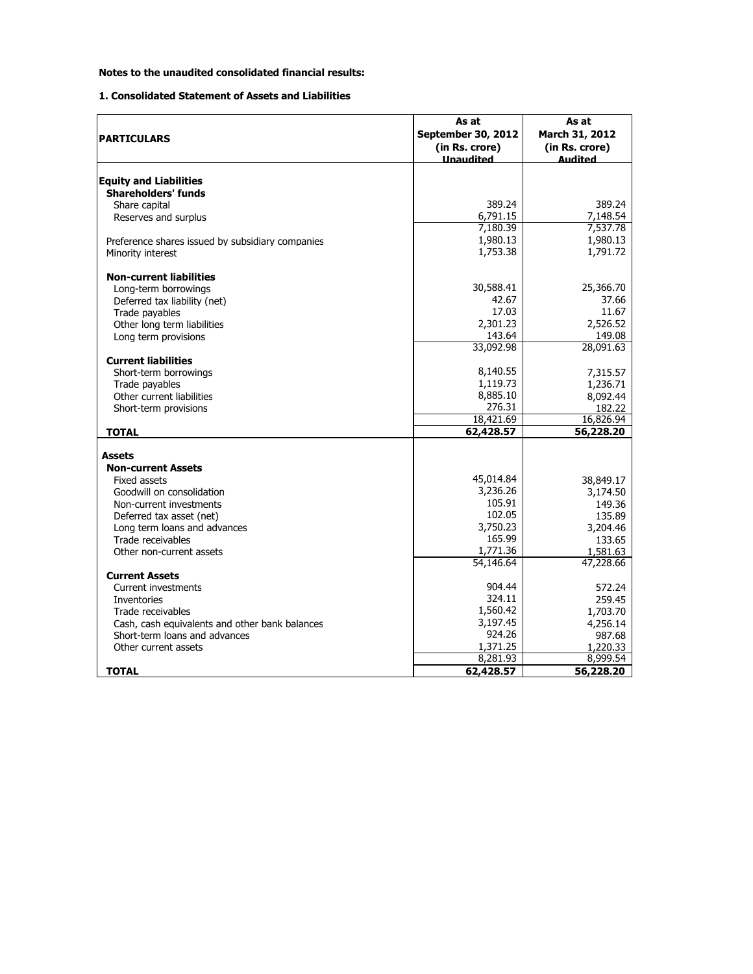## **Notes to the unaudited consolidated financial results:**

## **1. Consolidated Statement of Assets and Liabilities**

|                                                  | As at                     | As at          |
|--------------------------------------------------|---------------------------|----------------|
|                                                  | <b>September 30, 2012</b> | March 31, 2012 |
| <b>PARTICULARS</b>                               |                           |                |
|                                                  | (in Rs. crore)            | (in Rs. crore) |
|                                                  | <b>Unaudited</b>          | hetihuA        |
| <b>Equity and Liabilities</b>                    |                           |                |
| <b>Shareholders' funds</b>                       |                           |                |
|                                                  | 389.24                    | 389.24         |
| Share capital                                    | 6,791.15                  | 7,148.54       |
| Reserves and surplus                             |                           |                |
|                                                  | 7,180.39                  | 7,537.78       |
| Preference shares issued by subsidiary companies | 1,980.13                  | 1,980.13       |
| Minority interest                                | 1,753.38                  | 1,791.72       |
| <b>Non-current liabilities</b>                   |                           |                |
| Long-term borrowings                             | 30,588.41                 | 25,366.70      |
| Deferred tax liability (net)                     | 42.67                     | 37.66          |
| Trade pavables                                   | 17.03                     | 11.67          |
| Other long term liabilities                      | 2,301.23                  | 2,526.52       |
| Long term provisions                             | 143.64                    | 149.08         |
|                                                  | 33,092.98                 | 28,091.63      |
| <b>Current liabilities</b>                       |                           |                |
| Short-term borrowings                            | 8,140.55                  | 7,315.57       |
| Trade payables                                   | 1,119.73                  | 1,236.71       |
| Other current liabilities                        | 8,885.10                  | 8,092.44       |
| Short-term provisions                            | 276.31                    | 182.22         |
|                                                  | 18,421.69                 | 16,826.94      |
| <b>TOTAL</b>                                     | 62,428.57                 | 56,228.20      |
| <b>Assets</b>                                    |                           |                |
| <b>Non-current Assets</b>                        |                           |                |
| Fixed assets                                     | 45,014.84                 | 38,849.17      |
| Goodwill on consolidation                        | 3,236.26                  | 3,174.50       |
| Non-current investments                          | 105.91                    | 149.36         |
| Deferred tax asset (net)                         | 102.05                    | 135.89         |
| Long term loans and advances                     | 3,750.23                  | 3,204.46       |
| Trade receivables                                | 165.99                    | 133.65         |
| Other non-current assets                         | 1,771.36                  | 1.581.63       |
|                                                  | 54,146.64                 | 47,228.66      |
| <b>Current Assets</b>                            |                           |                |
| Current investments                              | 904.44                    | 572.24         |
| Inventories                                      | 324.11                    | 259.45         |
| Trade receivables                                | 1,560.42                  | 1,703.70       |
| Cash, cash equivalents and other bank balances   | 3,197.45                  | 4,256.14       |
| Short-term loans and advances                    | 924.26                    | 987.68         |
| Other current assets                             | 1,371.25                  | 1,220.33       |
|                                                  | 8,281.93                  | 8,999.54       |
|                                                  |                           | 56,228.20      |
| <b>TOTAL</b>                                     | 62,428.57                 |                |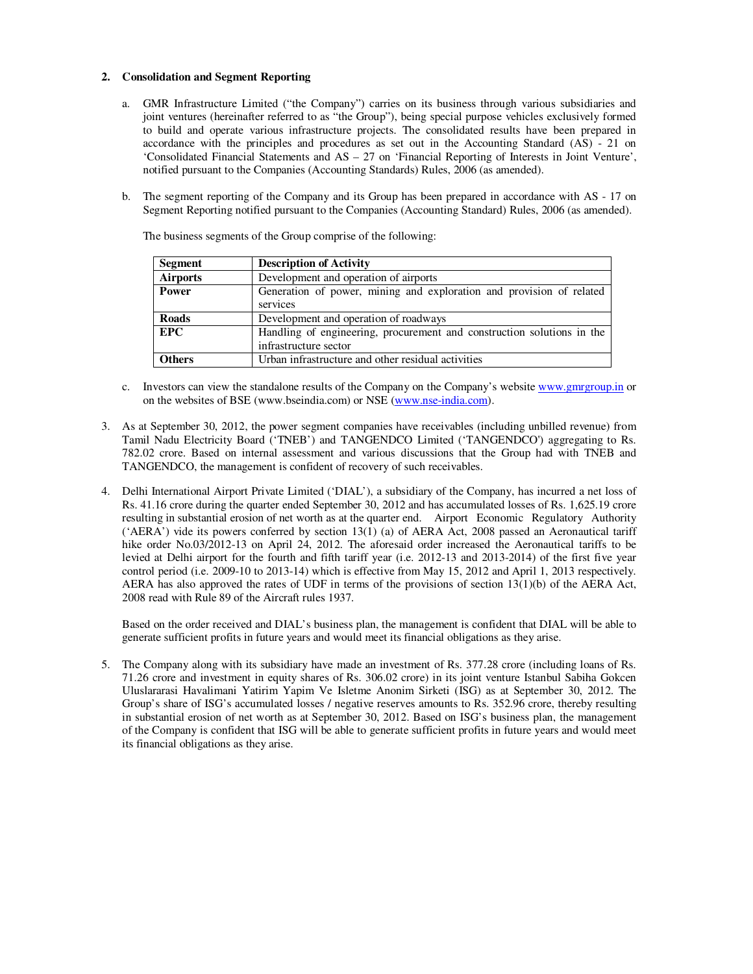### **2. Consolidation and Segment Reporting**

- a. GMR Infrastructure Limited ("the Company") carries on its business through various subsidiaries and joint ventures (hereinafter referred to as "the Group"), being special purpose vehicles exclusively formed to build and operate various infrastructure projects. The consolidated results have been prepared in accordance with the principles and procedures as set out in the Accounting Standard (AS) - 21 on 'Consolidated Financial Statements and AS – 27 on 'Financial Reporting of Interests in Joint Venture', notified pursuant to the Companies (Accounting Standards) Rules, 2006 (as amended).
- b. The segment reporting of the Company and its Group has been prepared in accordance with AS 17 on Segment Reporting notified pursuant to the Companies (Accounting Standard) Rules, 2006 (as amended).

| <b>Segment</b>  | <b>Description of Activity</b>                                         |
|-----------------|------------------------------------------------------------------------|
| <b>Airports</b> | Development and operation of airports                                  |
| Power           | Generation of power, mining and exploration and provision of related   |
|                 | services                                                               |
| <b>Roads</b>    | Development and operation of roadways                                  |
| <b>EPC</b>      | Handling of engineering, procurement and construction solutions in the |
|                 | infrastructure sector                                                  |
| <b>Others</b>   | Urban infrastructure and other residual activities                     |

The business segments of the Group comprise of the following:

- c. Investors can view the standalone results of the Company on the Company's website www.gmrgroup.in or on the websites of BSE (www.bseindia.com) or NSE (www.nse-india.com).
- 3. As at September 30, 2012, the power segment companies have receivables (including unbilled revenue) from Tamil Nadu Electricity Board ('TNEB') and TANGENDCO Limited ('TANGENDCO') aggregating to Rs. 782.02 crore. Based on internal assessment and various discussions that the Group had with TNEB and TANGENDCO, the management is confident of recovery of such receivables.
- 4. Delhi International Airport Private Limited ('DIAL'), a subsidiary of the Company, has incurred a net loss of Rs. 41.16 crore during the quarter ended September 30, 2012 and has accumulated losses of Rs. 1,625.19 crore resulting in substantial erosion of net worth as at the quarter end. Airport Economic Regulatory Authority ('AERA') vide its powers conferred by section 13(1) (a) of AERA Act, 2008 passed an Aeronautical tariff hike order No.03/2012-13 on April 24, 2012. The aforesaid order increased the Aeronautical tariffs to be levied at Delhi airport for the fourth and fifth tariff year (i.e. 2012-13 and 2013-2014) of the first five year control period (i.e. 2009-10 to 2013-14) which is effective from May 15, 2012 and April 1, 2013 respectively. AERA has also approved the rates of UDF in terms of the provisions of section 13(1)(b) of the AERA Act, 2008 read with Rule 89 of the Aircraft rules 1937.

Based on the order received and DIAL's business plan, the management is confident that DIAL will be able to generate sufficient profits in future years and would meet its financial obligations as they arise.

5. The Company along with its subsidiary have made an investment of Rs. 377.28 crore (including loans of Rs. 71.26 crore and investment in equity shares of Rs. 306.02 crore) in its joint venture Istanbul Sabiha Gokcen Uluslararasi Havalimani Yatirim Yapim Ve Isletme Anonim Sirketi (ISG) as at September 30, 2012. The Group's share of ISG's accumulated losses / negative reserves amounts to Rs. 352.96 crore, thereby resulting in substantial erosion of net worth as at September 30, 2012. Based on ISG's business plan, the management of the Company is confident that ISG will be able to generate sufficient profits in future years and would meet its financial obligations as they arise.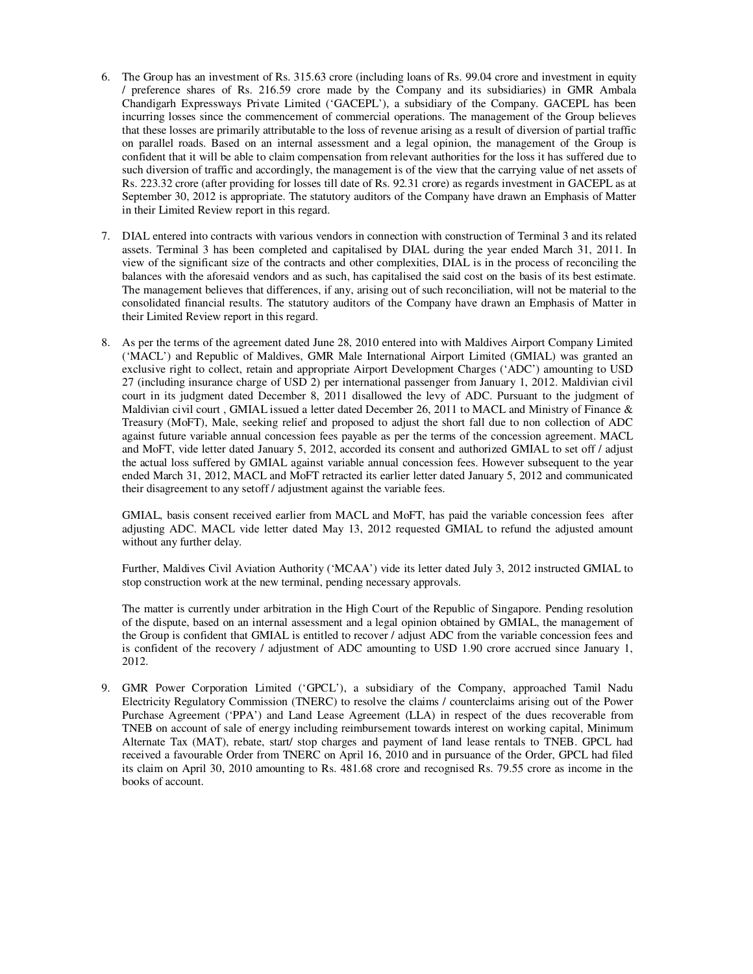- 6. The Group has an investment of Rs. 315.63 crore (including loans of Rs. 99.04 crore and investment in equity / preference shares of Rs. 216.59 crore made by the Company and its subsidiaries) in GMR Ambala Chandigarh Expressways Private Limited ('GACEPL'), a subsidiary of the Company. GACEPL has been incurring losses since the commencement of commercial operations. The management of the Group believes that these losses are primarily attributable to the loss of revenue arising as a result of diversion of partial traffic on parallel roads. Based on an internal assessment and a legal opinion, the management of the Group is confident that it will be able to claim compensation from relevant authorities for the loss it has suffered due to such diversion of traffic and accordingly, the management is of the view that the carrying value of net assets of Rs. 223.32 crore (after providing for losses till date of Rs. 92.31 crore) as regards investment in GACEPL as at September 30, 2012 is appropriate. The statutory auditors of the Company have drawn an Emphasis of Matter in their Limited Review report in this regard.
- 7. DIAL entered into contracts with various vendors in connection with construction of Terminal 3 and its related assets. Terminal 3 has been completed and capitalised by DIAL during the year ended March 31, 2011. In view of the significant size of the contracts and other complexities, DIAL is in the process of reconciling the balances with the aforesaid vendors and as such, has capitalised the said cost on the basis of its best estimate. The management believes that differences, if any, arising out of such reconciliation, will not be material to the consolidated financial results. The statutory auditors of the Company have drawn an Emphasis of Matter in their Limited Review report in this regard.
- 8. As per the terms of the agreement dated June 28, 2010 entered into with Maldives Airport Company Limited ('MACL') and Republic of Maldives, GMR Male International Airport Limited (GMIAL) was granted an exclusive right to collect, retain and appropriate Airport Development Charges ('ADC') amounting to USD 27 (including insurance charge of USD 2) per international passenger from January 1, 2012. Maldivian civil court in its judgment dated December 8, 2011 disallowed the levy of ADC. Pursuant to the judgment of Maldivian civil court , GMIAL issued a letter dated December 26, 2011 to MACL and Ministry of Finance & Treasury (MoFT), Male, seeking relief and proposed to adjust the short fall due to non collection of ADC against future variable annual concession fees payable as per the terms of the concession agreement. MACL and MoFT, vide letter dated January 5, 2012, accorded its consent and authorized GMIAL to set off / adjust the actual loss suffered by GMIAL against variable annual concession fees. However subsequent to the year ended March 31, 2012, MACL and MoFT retracted its earlier letter dated January 5, 2012 and communicated their disagreement to any setoff / adjustment against the variable fees.

GMIAL, basis consent received earlier from MACL and MoFT, has paid the variable concession fees after adjusting ADC. MACL vide letter dated May 13, 2012 requested GMIAL to refund the adjusted amount without any further delay.

Further, Maldives Civil Aviation Authority ('MCAA') vide its letter dated July 3, 2012 instructed GMIAL to stop construction work at the new terminal, pending necessary approvals.

The matter is currently under arbitration in the High Court of the Republic of Singapore. Pending resolution of the dispute, based on an internal assessment and a legal opinion obtained by GMIAL, the management of the Group is confident that GMIAL is entitled to recover / adjust ADC from the variable concession fees and is confident of the recovery / adjustment of ADC amounting to USD 1.90 crore accrued since January 1, 2012.

9. GMR Power Corporation Limited ('GPCL'), a subsidiary of the Company, approached Tamil Nadu Electricity Regulatory Commission (TNERC) to resolve the claims / counterclaims arising out of the Power Purchase Agreement ('PPA') and Land Lease Agreement (LLA) in respect of the dues recoverable from TNEB on account of sale of energy including reimbursement towards interest on working capital, Minimum Alternate Tax (MAT), rebate, start/ stop charges and payment of land lease rentals to TNEB. GPCL had received a favourable Order from TNERC on April 16, 2010 and in pursuance of the Order, GPCL had filed its claim on April 30, 2010 amounting to Rs. 481.68 crore and recognised Rs. 79.55 crore as income in the books of account.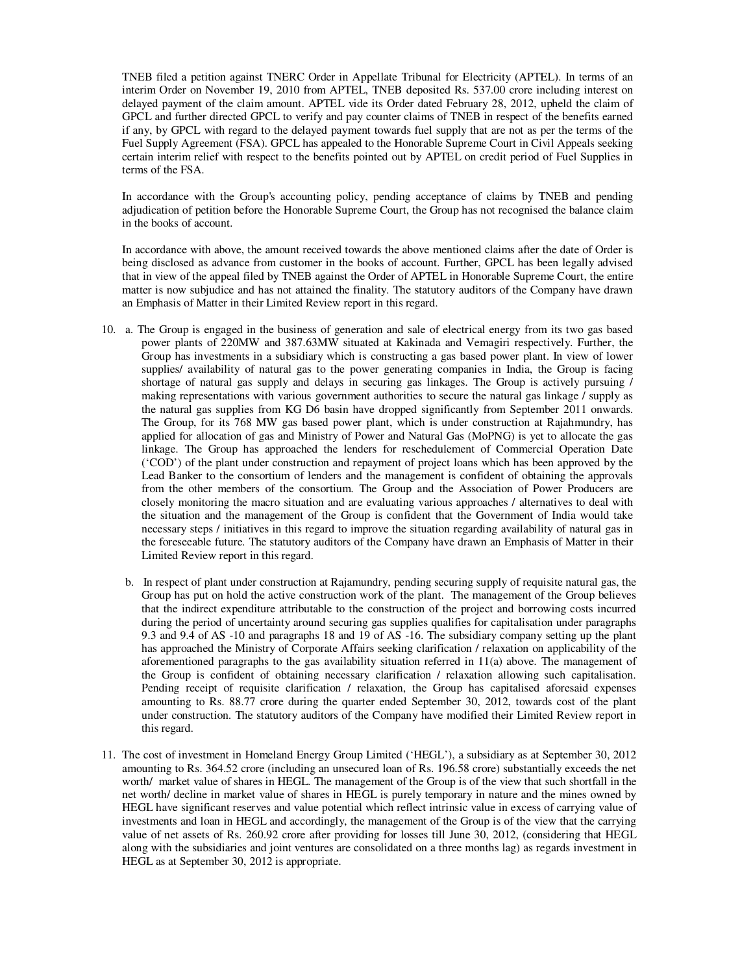TNEB filed a petition against TNERC Order in Appellate Tribunal for Electricity (APTEL). In terms of an interim Order on November 19, 2010 from APTEL, TNEB deposited Rs. 537.00 crore including interest on delayed payment of the claim amount. APTEL vide its Order dated February 28, 2012, upheld the claim of GPCL and further directed GPCL to verify and pay counter claims of TNEB in respect of the benefits earned if any, by GPCL with regard to the delayed payment towards fuel supply that are not as per the terms of the Fuel Supply Agreement (FSA). GPCL has appealed to the Honorable Supreme Court in Civil Appeals seeking certain interim relief with respect to the benefits pointed out by APTEL on credit period of Fuel Supplies in terms of the FSA.

In accordance with the Group's accounting policy, pending acceptance of claims by TNEB and pending adjudication of petition before the Honorable Supreme Court, the Group has not recognised the balance claim in the books of account.

In accordance with above, the amount received towards the above mentioned claims after the date of Order is being disclosed as advance from customer in the books of account. Further, GPCL has been legally advised that in view of the appeal filed by TNEB against the Order of APTEL in Honorable Supreme Court, the entire matter is now subjudice and has not attained the finality. The statutory auditors of the Company have drawn an Emphasis of Matter in their Limited Review report in this regard.

- 10. a. The Group is engaged in the business of generation and sale of electrical energy from its two gas based power plants of 220MW and 387.63MW situated at Kakinada and Vemagiri respectively. Further, the Group has investments in a subsidiary which is constructing a gas based power plant. In view of lower supplies/ availability of natural gas to the power generating companies in India, the Group is facing shortage of natural gas supply and delays in securing gas linkages. The Group is actively pursuing / making representations with various government authorities to secure the natural gas linkage / supply as the natural gas supplies from KG D6 basin have dropped significantly from September 2011 onwards. The Group, for its 768 MW gas based power plant, which is under construction at Rajahmundry, has applied for allocation of gas and Ministry of Power and Natural Gas (MoPNG) is yet to allocate the gas linkage. The Group has approached the lenders for reschedulement of Commercial Operation Date ('COD') of the plant under construction and repayment of project loans which has been approved by the Lead Banker to the consortium of lenders and the management is confident of obtaining the approvals from the other members of the consortium. The Group and the Association of Power Producers are closely monitoring the macro situation and are evaluating various approaches / alternatives to deal with the situation and the management of the Group is confident that the Government of India would take necessary steps / initiatives in this regard to improve the situation regarding availability of natural gas in the foreseeable future. The statutory auditors of the Company have drawn an Emphasis of Matter in their Limited Review report in this regard.
	- b. In respect of plant under construction at Rajamundry, pending securing supply of requisite natural gas, the Group has put on hold the active construction work of the plant. The management of the Group believes that the indirect expenditure attributable to the construction of the project and borrowing costs incurred during the period of uncertainty around securing gas supplies qualifies for capitalisation under paragraphs 9.3 and 9.4 of AS -10 and paragraphs 18 and 19 of AS -16. The subsidiary company setting up the plant has approached the Ministry of Corporate Affairs seeking clarification / relaxation on applicability of the aforementioned paragraphs to the gas availability situation referred in 11(a) above. The management of the Group is confident of obtaining necessary clarification / relaxation allowing such capitalisation. Pending receipt of requisite clarification / relaxation, the Group has capitalised aforesaid expenses amounting to Rs. 88.77 crore during the quarter ended September 30, 2012, towards cost of the plant under construction. The statutory auditors of the Company have modified their Limited Review report in this regard.
- 11. The cost of investment in Homeland Energy Group Limited ('HEGL'), a subsidiary as at September 30, 2012 amounting to Rs. 364.52 crore (including an unsecured loan of Rs. 196.58 crore) substantially exceeds the net worth/ market value of shares in HEGL. The management of the Group is of the view that such shortfall in the net worth/ decline in market value of shares in HEGL is purely temporary in nature and the mines owned by HEGL have significant reserves and value potential which reflect intrinsic value in excess of carrying value of investments and loan in HEGL and accordingly, the management of the Group is of the view that the carrying value of net assets of Rs. 260.92 crore after providing for losses till June 30, 2012, (considering that HEGL along with the subsidiaries and joint ventures are consolidated on a three months lag) as regards investment in HEGL as at September 30, 2012 is appropriate.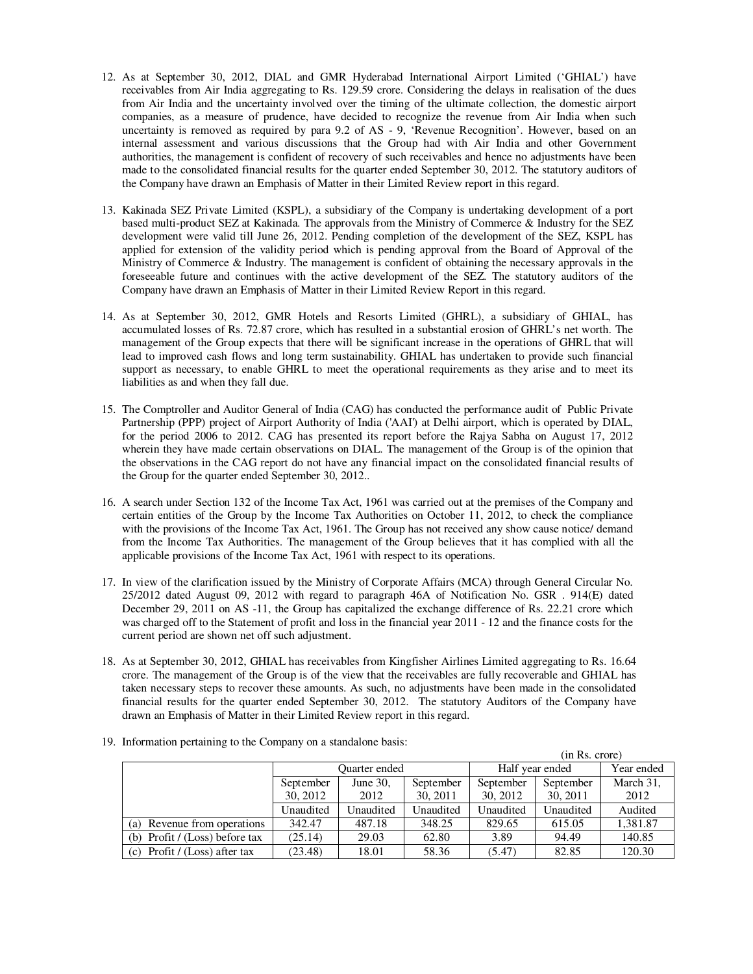- 12. As at September 30, 2012, DIAL and GMR Hyderabad International Airport Limited ('GHIAL') have receivables from Air India aggregating to Rs. 129.59 crore. Considering the delays in realisation of the dues from Air India and the uncertainty involved over the timing of the ultimate collection, the domestic airport companies, as a measure of prudence, have decided to recognize the revenue from Air India when such uncertainty is removed as required by para 9.2 of AS - 9, 'Revenue Recognition'. However, based on an internal assessment and various discussions that the Group had with Air India and other Government authorities, the management is confident of recovery of such receivables and hence no adjustments have been made to the consolidated financial results for the quarter ended September 30, 2012. The statutory auditors of the Company have drawn an Emphasis of Matter in their Limited Review report in this regard.
- 13. Kakinada SEZ Private Limited (KSPL), a subsidiary of the Company is undertaking development of a port based multi-product SEZ at Kakinada. The approvals from the Ministry of Commerce & Industry for the SEZ development were valid till June 26, 2012. Pending completion of the development of the SEZ, KSPL has applied for extension of the validity period which is pending approval from the Board of Approval of the Ministry of Commerce & Industry. The management is confident of obtaining the necessary approvals in the foreseeable future and continues with the active development of the SEZ. The statutory auditors of the Company have drawn an Emphasis of Matter in their Limited Review Report in this regard.
- 14. As at September 30, 2012, GMR Hotels and Resorts Limited (GHRL), a subsidiary of GHIAL, has accumulated losses of Rs. 72.87 crore, which has resulted in a substantial erosion of GHRL's net worth. The management of the Group expects that there will be significant increase in the operations of GHRL that will lead to improved cash flows and long term sustainability. GHIAL has undertaken to provide such financial support as necessary, to enable GHRL to meet the operational requirements as they arise and to meet its liabilities as and when they fall due.
- 15. The Comptroller and Auditor General of India (CAG) has conducted the performance audit of Public Private Partnership (PPP) project of Airport Authority of India ('AAI') at Delhi airport, which is operated by DIAL, for the period 2006 to 2012. CAG has presented its report before the Rajya Sabha on August 17, 2012 wherein they have made certain observations on DIAL. The management of the Group is of the opinion that the observations in the CAG report do not have any financial impact on the consolidated financial results of the Group for the quarter ended September 30, 2012..
- 16. A search under Section 132 of the Income Tax Act, 1961 was carried out at the premises of the Company and certain entities of the Group by the Income Tax Authorities on October 11, 2012, to check the compliance with the provisions of the Income Tax Act, 1961. The Group has not received any show cause notice/ demand from the Income Tax Authorities. The management of the Group believes that it has complied with all the applicable provisions of the Income Tax Act, 1961 with respect to its operations.
- 17. In view of the clarification issued by the Ministry of Corporate Affairs (MCA) through General Circular No. 25/2012 dated August 09, 2012 with regard to paragraph 46A of Notification No. GSR . 914(E) dated December 29, 2011 on AS -11, the Group has capitalized the exchange difference of Rs. 22.21 crore which was charged off to the Statement of profit and loss in the financial year 2011 - 12 and the finance costs for the current period are shown net off such adjustment.
- 18. As at September 30, 2012, GHIAL has receivables from Kingfisher Airlines Limited aggregating to Rs. 16.64 crore. The management of the Group is of the view that the receivables are fully recoverable and GHIAL has taken necessary steps to recover these amounts. As such, no adjustments have been made in the consolidated financial results for the quarter ended September 30, 2012. The statutory Auditors of the Company have drawn an Emphasis of Matter in their Limited Review report in this regard.

|                                 |               | (III RS. CIOIE) |           |                 |            |           |
|---------------------------------|---------------|-----------------|-----------|-----------------|------------|-----------|
|                                 | Ouarter ended |                 |           | Half year ended | Year ended |           |
|                                 | September     | June 30,        | September | September       | September  | March 31, |
|                                 | 30, 2012      | 2012            | 30, 2011  | 30, 2012        | 30, 2011   | 2012      |
|                                 | Unaudited     | Unaudited       | Unaudited | Unaudited       | Unaudited  | Audited   |
| (a) Revenue from operations     | 342.47        | 487.18          | 348.25    | 829.65          | 615.05     | 1,381.87  |
| (b) Profit $/(Loss)$ before tax | (25.14)       | 29.03           | 62.80     | 3.89            | 94.49      | 140.85    |
| (c) Profit / $(Loss)$ after tax | (23.48)       | 18.01           | 58.36     | (5.47)          | 82.85      | 120.30    |

 $(1, 0, 0, 0)$ 

19. Information pertaining to the Company on a standalone basis: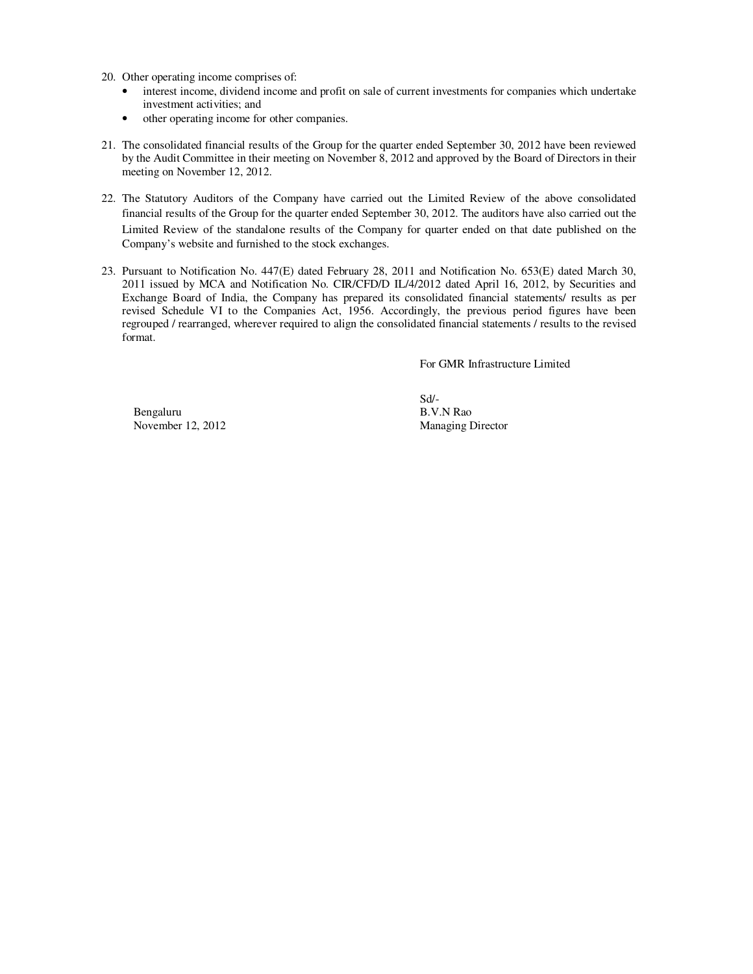- 20. Other operating income comprises of:
	- interest income, dividend income and profit on sale of current investments for companies which undertake investment activities; and
	- other operating income for other companies.
- 21. The consolidated financial results of the Group for the quarter ended September 30, 2012 have been reviewed by the Audit Committee in their meeting on November 8, 2012 and approved by the Board of Directors in their meeting on November 12, 2012.
- 22. The Statutory Auditors of the Company have carried out the Limited Review of the above consolidated financial results of the Group for the quarter ended September 30, 2012. The auditors have also carried out the Limited Review of the standalone results of the Company for quarter ended on that date published on the Company's website and furnished to the stock exchanges.
- 23. Pursuant to Notification No. 447(E) dated February 28, 2011 and Notification No. 653(E) dated March 30, 2011 issued by MCA and Notification No. CIR/CFD/D IL/4/2012 dated April 16, 2012, by Securities and Exchange Board of India, the Company has prepared its consolidated financial statements/ results as per revised Schedule VI to the Companies Act, 1956. Accordingly, the previous period figures have been regrouped / rearranged, wherever required to align the consolidated financial statements / results to the revised format.

For GMR Infrastructure Limited

Bengaluru B.V.N Rao<br>November 12, 2012 Managing L

Sd/- Managing Director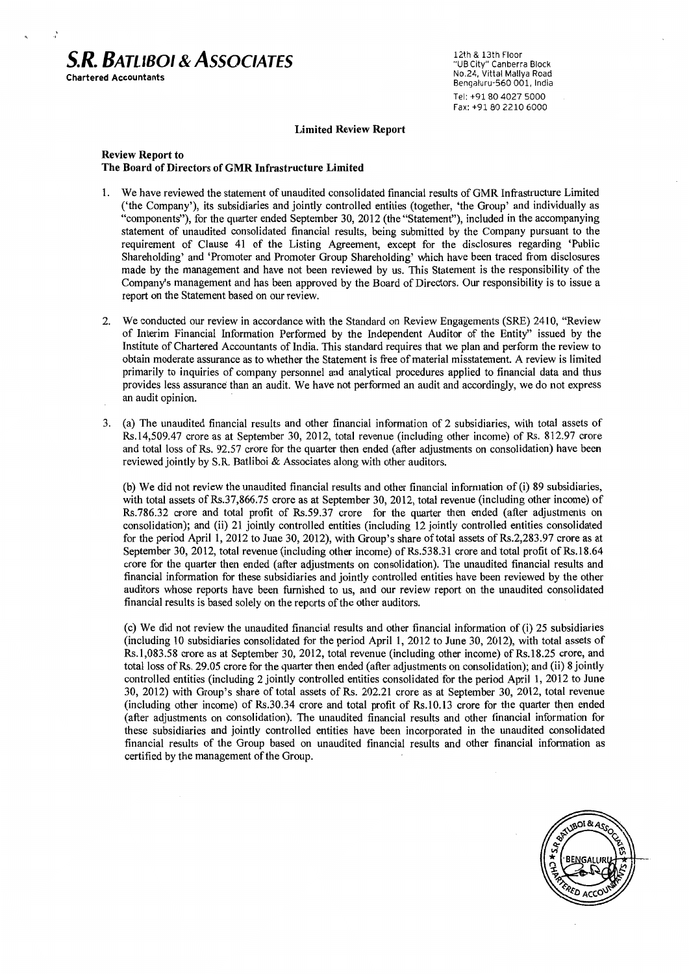

12th & 13th Floor "UB City" Canberra Block No.24. Vittal Mallya Road Bengaluru-560 001, India Tel: +91 80 4027 5000 Fax: +91 80 2210 6000

#### **Limited Review Report**

#### **Review Report to** The Board of Directors of GMR Infrastructure Limited

- We have reviewed the statement of unaudited consolidated financial results of GMR Infrastructure Limited  $\mathbf{1}$ . ('the Company'), its subsidiaries and jointly controlled entities (together, 'the Group' and individually as "components"), for the quarter ended September 30, 2012 (the "Statement"), included in the accompanying statement of unaudited consolidated financial results, being submitted by the Company pursuant to the requirement of Clause 41 of the Listing Agreement, except for the disclosures regarding 'Public Shareholding' and 'Promoter and Promoter Group Shareholding' which have been traced from disclosures made by the management and have not been reviewed by us. This Statement is the responsibility of the Company's management and has been approved by the Board of Directors. Our responsibility is to issue a report on the Statement based on our review.
- 2. We conducted our review in accordance with the Standard on Review Engagements (SRE) 2410, "Review of Interim Financial Information Performed by the Independent Auditor of the Entity" issued by the Institute of Chartered Accountants of India. This standard requires that we plan and perform the review to obtain moderate assurance as to whether the Statement is free of material misstatement. A review is limited primarily to inquiries of company personnel and analytical procedures applied to financial data and thus provides less assurance than an audit. We have not performed an audit and accordingly, we do not express an audit opinion.
- (a) The unaudited financial results and other financial information of 2 subsidiaries, with total assets of  $3.$ Rs.14,509.47 crore as at September 30, 2012, total revenue (including other income) of Rs. 812.97 crore and total loss of Rs. 92.57 crore for the quarter then ended (after adjustments on consolidation) have been reviewed jointly by S.R. Batliboi & Associates along with other auditors.

(b) We did not review the unaudited financial results and other financial information of (i) 89 subsidiaries, with total assets of Rs.37,866.75 crore as at September 30, 2012, total revenue (including other income) of Rs.786.32 crore and total profit of Rs.59.37 crore for the quarter then ended (after adjustments on consolidation); and (ii) 21 jointly controlled entities (including 12 jointly controlled entities consolidated for the period April 1, 2012 to June 30, 2012), with Group's share of total assets of Rs.2,283.97 crore as at September 30, 2012, total revenue (including other income) of Rs.538.31 crore and total profit of Rs.18.64 crore for the quarter then ended (after adjustments on consolidation). The unaudited financial results and financial information for these subsidiaries and jointly controlled entities have been reviewed by the other auditors whose reports have been furnished to us, and our review report on the unaudited consolidated financial results is based solely on the reports of the other auditors.

(c) We did not review the unaudited financial results and other financial information of (i) 25 subsidiaries (including 10 subsidiaries consolidated for the period April 1, 2012 to June 30, 2012), with total assets of Rs.1,083.58 crore as at September 30, 2012, total revenue (including other income) of Rs.18.25 crore, and total loss of Rs. 29.05 crore for the quarter then ended (after adjustments on consolidation); and (ii) 8 jointly controlled entities (including 2 jointly controlled entities consolidated for the period April 1, 2012 to June 30, 2012) with Group's share of total assets of Rs. 202.21 crore as at September 30, 2012, total revenue (including other income) of Rs.30.34 crore and total profit of Rs.10.13 crore for the quarter then ended (after adjustments on consolidation). The unaudited financial results and other financial information for these subsidiaries and jointly controlled entities have been incorporated in the unaudited consolidated financial results of the Group based on unaudited financial results and other financial information as certified by the management of the Group.

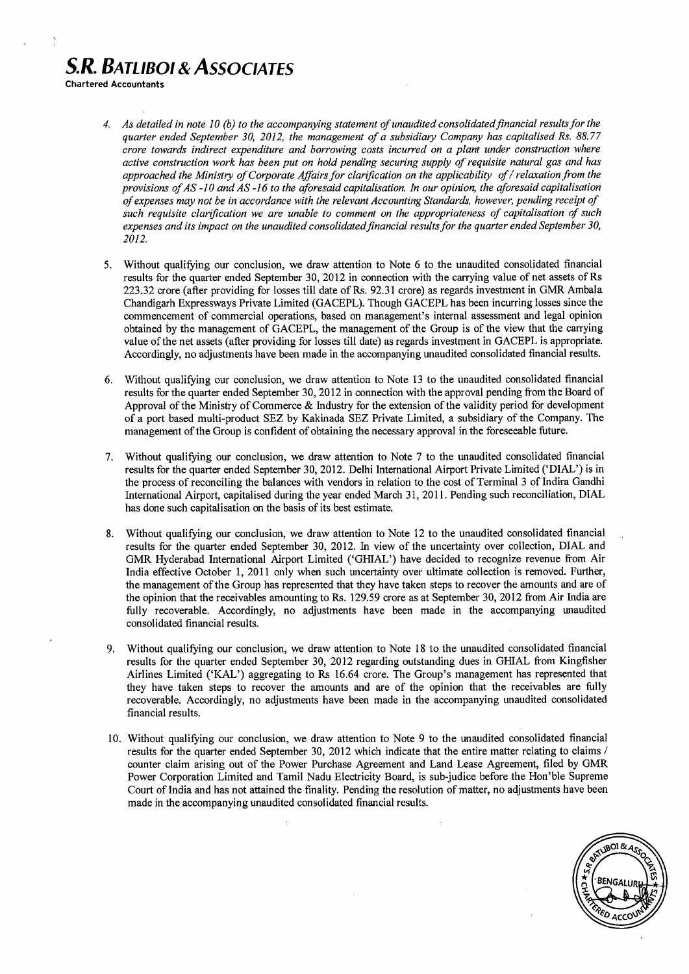# **S.R. BATLIBOL & ASSOCIATES**

**Chartered Accountants** 

- 4. As detailed in note 10 (b) to the accompanying statement of unaudited consolidated financial results for the quarter ended September 30, 2012, the management of a subsidiary Company has capitalised Rs. 88.77 crore towards indirect expenditure and borrowing costs incurred on a plant under construction where active construction work has been put on hold pending securing supply of requisite natural gas and has approached the Ministry of Corporate Affairs for clarification on the applicability of / relaxation from the provisions of  $AS -10$  and  $AS -16$  to the aforesaid capitalisation. In our opinion, the aforesaid capitalisation of expenses may not be in accordance with the relevant Accounting Standards, however, pending receipt of such requisite clarification we are unable to comment on the appropriateness of capitalisation of such expenses and its impact on the unaudited consolidated financial results for the quarter ended September 30, 2012.
- $5.$ Without qualifying our conclusion, we draw attention to Note 6 to the unaudited consolidated financial results for the quarter ended September 30, 2012 in connection with the carrying value of net assets of Rs 223.32 crore (after providing for losses till date of Rs. 92.31 crore) as regards investment in GMR Ambala Chandigarh Expressways Private Limited (GACEPL). Though GACEPL has been incurring losses since the commencement of commercial operations, based on management's internal assessment and legal opinion obtained by the management of GACEPL, the management of the Group is of the view that the carrying value of the net assets (after providing for losses till date) as regards investment in GACEPL is appropriate. Accordingly, no adjustments have been made in the accompanying unaudited consolidated financial results.
- Without qualifying our conclusion, we draw attention to Note 13 to the unaudited consolidated financial 6. results for the quarter ended September 30, 2012 in connection with the approval pending from the Board of Approval of the Ministry of Commerce & Industry for the extension of the validity period for development of a port based multi-product SEZ by Kakinada SEZ Private Limited, a subsidiary of the Company. The management of the Group is confident of obtaining the necessary approval in the foreseeable future.
- Without qualifying our conclusion, we draw attention to Note 7 to the unaudited consolidated financial 7. results for the quarter ended September 30, 2012. Delhi International Airport Private Limited ('DIAL') is in the process of reconciling the balances with vendors in relation to the cost of Terminal 3 of Indira Gandhi International Airport, capitalised during the year ended March 31, 2011. Pending such reconciliation, DIAL has done such capitalisation on the basis of its best estimate.
- Without qualifying our conclusion, we draw attention to Note 12 to the unaudited consolidated financial 8. results for the quarter ended September 30, 2012. In view of the uncertainty over collection, DIAL and GMR Hyderabad International Airport Limited ('GHIAL') have decided to recognize revenue from Air India effective October 1, 2011 only when such uncertainty over ultimate collection is removed. Further, the management of the Group has represented that they have taken steps to recover the amounts and are of the opinion that the receivables amounting to Rs. 129.59 crore as at September 30, 2012 from Air India are fully recoverable. Accordingly, no adjustments have been made in the accompanying unaudited consolidated financial results.
- Without qualifying our conclusion, we draw attention to Note 18 to the unaudited consolidated financial 9. results for the quarter ended September 30, 2012 regarding outstanding dues in GHIAL from Kingfisher Airlines Limited ('KAL') aggregating to Rs 16.64 crore. The Group's management has represented that they have taken steps to recover the amounts and are of the opinion that the receivables are fully recoverable. Accordingly, no adjustments have been made in the accompanying unaudited consolidated financial results.
- 10. Without qualifying our conclusion, we draw attention to Note 9 to the unaudited consolidated financial results for the quarter ended September 30, 2012 which indicate that the entire matter relating to claims / counter claim arising out of the Power Purchase Agreement and Land Lease Agreement, filed by GMR Power Corporation Limited and Tamil Nadu Electricity Board, is sub-judice before the Hon'ble Supreme Court of India and has not attained the finality. Pending the resolution of matter, no adjustments have been made in the accompanying unaudited consolidated financial results.